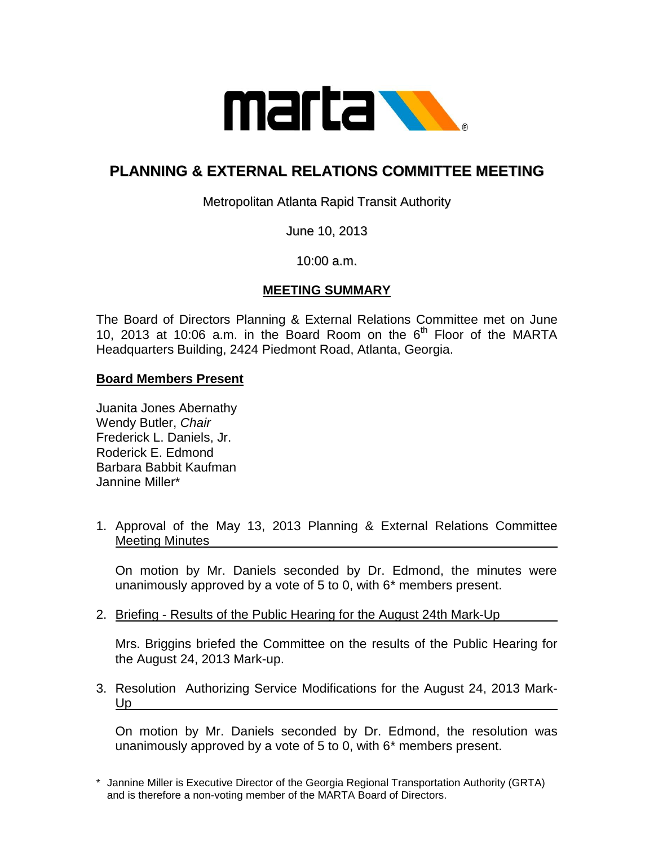

# **PLANNING & EXTERNAL RELATIONS COMMITTEE MEETING**

Metropolitan Atlanta Rapid Transit Authority

June 10, 2013

10:00 a.m.

# **MEETING SUMMARY**

The Board of Directors Planning & External Relations Committee met on June 10, 2013 at 10:06 a.m. in the Board Room on the  $6<sup>th</sup>$  Floor of the MARTA Headquarters Building, 2424 Piedmont Road, Atlanta, Georgia.

### **Board Members Present**

Juanita Jones Abernathy Wendy Butler, *Chair* Frederick L. Daniels, Jr. Roderick E. Edmond Barbara Babbit Kaufman Jannine Miller\*

1. Approval of the May 13, 2013 Planning & External Relations Committee Meeting Minutes

On motion by Mr. Daniels seconded by Dr. Edmond, the minutes were unanimously approved by a vote of 5 to 0, with 6\* members present.

2. Briefing - Results of the Public Hearing for the August 24th Mark-Up

Mrs. Briggins briefed the Committee on the results of the Public Hearing for the August 24, 2013 Mark-up.

3. Resolution Authorizing Service Modifications for the August 24, 2013 Mark-Up

On motion by Mr. Daniels seconded by Dr. Edmond, the resolution was unanimously approved by a vote of 5 to 0, with 6\* members present.

<sup>\*</sup> Jannine Miller is Executive Director of the Georgia Regional Transportation Authority (GRTA) and is therefore a non-voting member of the MARTA Board of Directors.